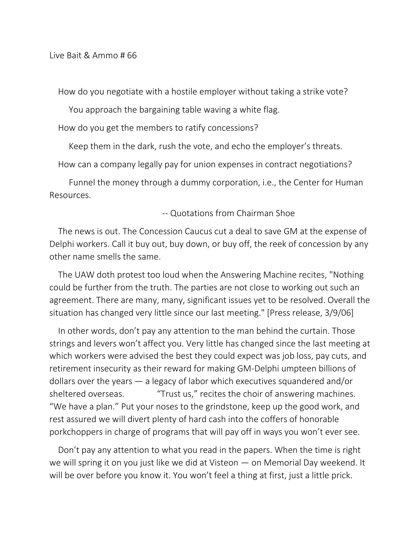How do you negotiate with a hostile employer without taking a strike vote?

You approach the bargaining table waving a white flag.

How do you get the members to ratify concessions?

Keep them in the dark, rush the vote, and echo the employer's threats.

How can a company legally pay for union expenses in contract negotiations?

 Funnel the money through a dummy corporation, i.e., the Center for Human Resources.

## -- Quotations from Chairman Shoe

The news is out. The Concession Caucus cut a deal to save GM at the expense of Delphi workers. Call it buy out, buy down, or buy off, the reek of concession by any other name smells the same.

The UAW doth protest too loud when the Answering Machine recites, "Nothing could be further from the truth. The parties are not close to working out such an agreement. There are many, many, significant issues yet to be resolved. Overall the situation has changed very little since our last meeting." [Press release, 3/9/06]

In other words, don't pay any attention to the man behind the curtain. Those strings and levers won't affect you. Very little has changed since the last meeting at which workers were advised the best they could expect was job loss, pay cuts, and retirement insecurity as their reward for making GM-Delphi umpteen billions of dollars over the years — a legacy of labor which executives squandered and/or sheltered overseas. "Trust us," recites the choir of answering machines. "We have a plan." Put your noses to the grindstone, keep up the good work, and rest assured we will divert plenty of hard cash into the coffers of honorable porkchoppers in charge of programs that will pay off in ways you won't ever see.

Don't pay any attention to what you read in the papers. When the time is right we will spring it on you just like we did at Visteon — on Memorial Day weekend. It will be over before you know it. You won't feel a thing at first, just a little prick.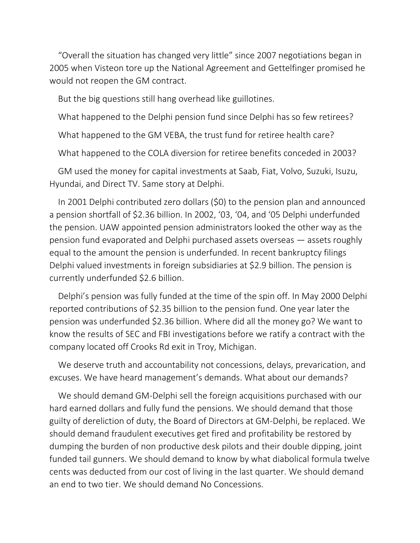"Overall the situation has changed very little" since 2007 negotiations began in 2005 when Visteon tore up the National Agreement and Gettelfinger promised he would not reopen the GM contract.

But the big questions still hang overhead like guillotines.

What happened to the Delphi pension fund since Delphi has so few retirees?

What happened to the GM VEBA, the trust fund for retiree health care?

What happened to the COLA diversion for retiree benefits conceded in 2003?

GM used the money for capital investments at Saab, Fiat, Volvo, Suzuki, Isuzu, Hyundai, and Direct TV. Same story at Delphi.

In 2001 Delphi contributed zero dollars (\$0) to the pension plan and announced a pension shortfall of \$2.36 billion. In 2002, '03, '04, and '05 Delphi underfunded the pension. UAW appointed pension administrators looked the other way as the pension fund evaporated and Delphi purchased assets overseas — assets roughly equal to the amount the pension is underfunded. In recent bankruptcy filings Delphi valued investments in foreign subsidiaries at \$2.9 billion. The pension is currently underfunded \$2.6 billion.

Delphi's pension was fully funded at the time of the spin off. In May 2000 Delphi reported contributions of \$2.35 billion to the pension fund. One year later the pension was underfunded \$2.36 billion. Where did all the money go? We want to know the results of SEC and FBI investigations before we ratify a contract with the company located off Crooks Rd exit in Troy, Michigan.

We deserve truth and accountability not concessions, delays, prevarication, and excuses. We have heard management's demands. What about our demands?

We should demand GM-Delphi sell the foreign acquisitions purchased with our hard earned dollars and fully fund the pensions. We should demand that those guilty of dereliction of duty, the Board of Directors at GM-Delphi, be replaced. We should demand fraudulent executives get fired and profitability be restored by dumping the burden of non productive desk pilots and their double dipping, joint funded tail gunners. We should demand to know by what diabolical formula twelve cents was deducted from our cost of living in the last quarter. We should demand an end to two tier. We should demand No Concessions.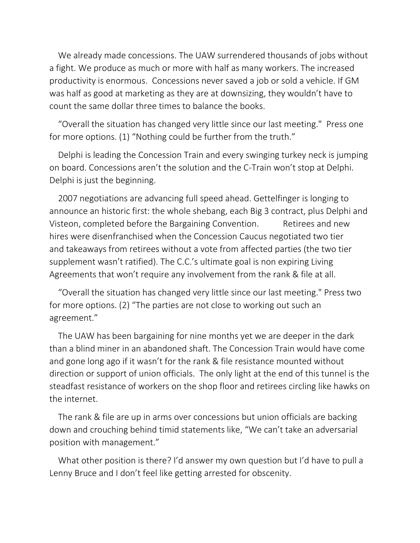We already made concessions. The UAW surrendered thousands of jobs without a fight. We produce as much or more with half as many workers. The increased productivity is enormous. Concessions never saved a job or sold a vehicle. If GM was half as good at marketing as they are at downsizing, they wouldn't have to count the same dollar three times to balance the books.

"Overall the situation has changed very little since our last meeting." Press one for more options. (1) "Nothing could be further from the truth."

Delphi is leading the Concession Train and every swinging turkey neck is jumping on board. Concessions aren't the solution and the C-Train won't stop at Delphi. Delphi is just the beginning.

2007 negotiations are advancing full speed ahead. Gettelfinger is longing to announce an historic first: the whole shebang, each Big 3 contract, plus Delphi and Visteon, completed before the Bargaining Convention. Retirees and new hires were disenfranchised when the Concession Caucus negotiated two tier and takeaways from retirees without a vote from affected parties (the two tier supplement wasn't ratified). The C.C.'s ultimate goal is non expiring Living Agreements that won't require any involvement from the rank & file at all.

"Overall the situation has changed very little since our last meeting." Press two for more options. (2) "The parties are not close to working out such an agreement."

The UAW has been bargaining for nine months yet we are deeper in the dark than a blind miner in an abandoned shaft. The Concession Train would have come and gone long ago if it wasn't for the rank & file resistance mounted without direction or support of union officials. The only light at the end of this tunnel is the steadfast resistance of workers on the shop floor and retirees circling like hawks on the internet.

The rank & file are up in arms over concessions but union officials are backing down and crouching behind timid statements like, "We can't take an adversarial position with management."

What other position is there? I'd answer my own question but I'd have to pull a Lenny Bruce and I don't feel like getting arrested for obscenity.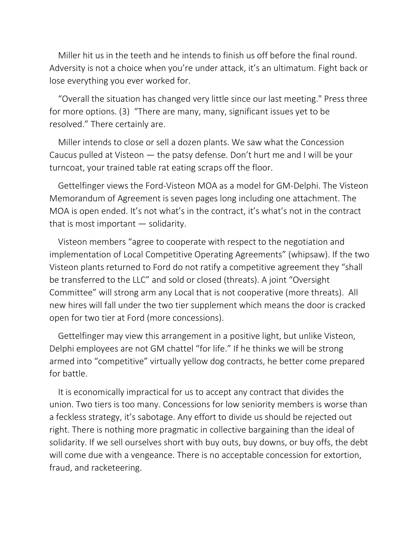Miller hit us in the teeth and he intends to finish us off before the final round. Adversity is not a choice when you're under attack, it's an ultimatum. Fight back or lose everything you ever worked for.

"Overall the situation has changed very little since our last meeting." Press three for more options. (3) "There are many, many, significant issues yet to be resolved." There certainly are.

Miller intends to close or sell a dozen plants. We saw what the Concession Caucus pulled at Visteon — the patsy defense. Don't hurt me and I will be your turncoat, your trained table rat eating scraps off the floor.

Gettelfinger views the Ford-Visteon MOA as a model for GM-Delphi. The Visteon Memorandum of Agreement is seven pages long including one attachment. The MOA is open ended. It's not what's in the contract, it's what's not in the contract that is most important — solidarity.

Visteon members "agree to cooperate with respect to the negotiation and implementation of Local Competitive Operating Agreements" (whipsaw). If the two Visteon plants returned to Ford do not ratify a competitive agreement they "shall be transferred to the LLC" and sold or closed (threats). A joint "Oversight Committee" will strong arm any Local that is not cooperative (more threats). All new hires will fall under the two tier supplement which means the door is cracked open for two tier at Ford (more concessions).

Gettelfinger may view this arrangement in a positive light, but unlike Visteon, Delphi employees are not GM chattel "for life." If he thinks we will be strong armed into "competitive" virtually yellow dog contracts, he better come prepared for battle.

It is economically impractical for us to accept any contract that divides the union. Two tiers is too many. Concessions for low seniority members is worse than a feckless strategy, it's sabotage. Any effort to divide us should be rejected out right. There is nothing more pragmatic in collective bargaining than the ideal of solidarity. If we sell ourselves short with buy outs, buy downs, or buy offs, the debt will come due with a vengeance. There is no acceptable concession for extortion, fraud, and racketeering.